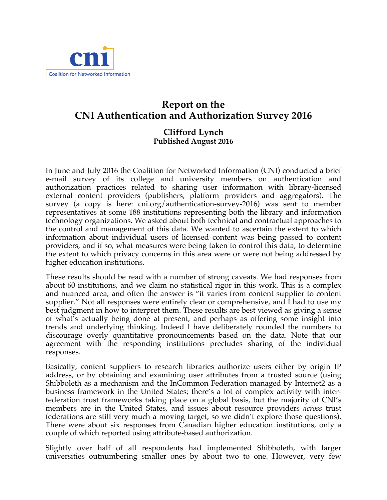

## **Report on the CNI Authentication and Authorization Survey 2016**

## **Clifford Lynch Published August 2016**

In June and July 2016 the Coalition for Networked Information (CNI) conducted a brief e-mail survey of its college and university members on authentication and authorization practices related to sharing user information with library-licensed external content providers (publishers, platform providers and aggregators). The survey (a copy is here: cni.org/authentication-survey-2016) was sent to member representatives at some 188 institutions representing both the library and information technology organizations. We asked about both technical and contractual approaches to the control and management of this data. We wanted to ascertain the extent to which information about individual users of licensed content was being passed to content providers, and if so, what measures were being taken to control this data, to determine the extent to which privacy concerns in this area were or were not being addressed by higher education institutions.

These results should be read with a number of strong caveats. We had responses from about 60 institutions, and we claim no statistical rigor in this work. This is a complex and nuanced area, and often the answer is "it varies from content supplier to content supplier." Not all responses were entirely clear or comprehensive, and I had to use my best judgment in how to interpret them. These results are best viewed as giving a sense of what's actually being done at present, and perhaps as offering some insight into trends and underlying thinking. Indeed I have deliberately rounded the numbers to discourage overly quantitative pronouncements based on the data. Note that our agreement with the responding institutions precludes sharing of the individual responses.

Basically, content suppliers to research libraries authorize users either by origin IP address, or by obtaining and examining user attributes from a trusted source (using Shibboleth as a mechanism and the InCommon Federation managed by Internet2 as a business framework in the United States; there's a lot of complex activity with interfederation trust frameworks taking place on a global basis, but the majority of CNI's members are in the United States, and issues about resource providers *across* trust federations are still very much a moving target, so we didn't explore those questions). There were about six responses from Canadian higher education institutions, only a couple of which reported using attribute-based authorization.

Slightly over half of all respondents had implemented Shibboleth, with larger universities outnumbering smaller ones by about two to one. However, very few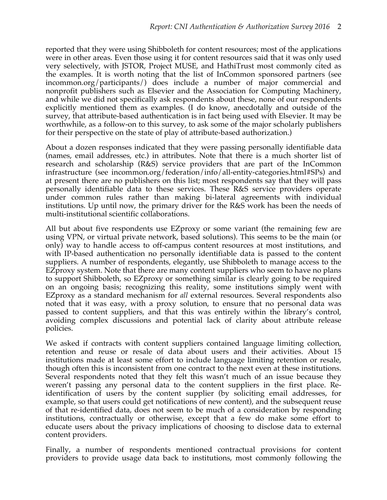reported that they were using Shibboleth for content resources; most of the applications were in other areas. Even those using it for content resources said that it was only used very selectively, with JSTOR, Project MUSE, and HathiTrust most commonly cited as the examples. It is worth noting that the list of InCommon sponsored partners (see incommon.org/participants/) does include a number of major commercial and nonprofit publishers such as Elsevier and the Association for Computing Machinery, and while we did not specifically ask respondents about these, none of our respondents explicitly mentioned them as examples. (I do know, anecdotally and outside of the survey, that attribute-based authentication is in fact being used with Elsevier. It may be worthwhile, as a follow-on to this survey, to ask some of the major scholarly publishers for their perspective on the state of play of attribute-based authorization.)

About a dozen responses indicated that they were passing personally identifiable data (names, email addresses, etc.) in attributes. Note that there is a much shorter list of research and scholarship (R&S) service providers that are part of the InCommon infrastructure (see incommon.org/federation/info/all-entity-categories.html#SPs) and at present there are no publishers on this list; most respondents say that they will pass personally identifiable data to these services. These R&S service providers operate under common rules rather than making bi-lateral agreements with individual institutions. Up until now, the primary driver for the R&S work has been the needs of multi-institutional scientific collaborations.

All but about five respondents use EZproxy or some variant (the remaining few are using VPN, or virtual private network, based solutions). This seems to be the main (or only) way to handle access to off-campus content resources at most institutions, and with IP-based authentication no personally identifiable data is passed to the content suppliers. A number of respondents, elegantly, use Shibboleth to manage access to the EZproxy system. Note that there are many content suppliers who seem to have no plans to support Shibboleth, so EZproxy or something similar is clearly going to be required on an ongoing basis; recognizing this reality, some institutions simply went with EZproxy as a standard mechanism for *all* external resources. Several respondents also noted that it was easy, with a proxy solution, to ensure that no personal data was passed to content suppliers, and that this was entirely within the library's control, avoiding complex discussions and potential lack of clarity about attribute release policies.

We asked if contracts with content suppliers contained language limiting collection, retention and reuse or resale of data about users and their activities. About 15 institutions made at least some effort to include language limiting retention or resale, though often this is inconsistent from one contract to the next even at these institutions. Several respondents noted that they felt this wasn't much of an issue because they weren't passing any personal data to the content suppliers in the first place. Reidentification of users by the content supplier (by soliciting email addresses, for example, so that users could get notifications of new content), and the subsequent reuse of that re-identified data, does not seem to be much of a consideration by responding institutions, contractually or otherwise, except that a few do make some effort to educate users about the privacy implications of choosing to disclose data to external content providers.

Finally, a number of respondents mentioned contractual provisions for content providers to provide usage data back to institutions, most commonly following the